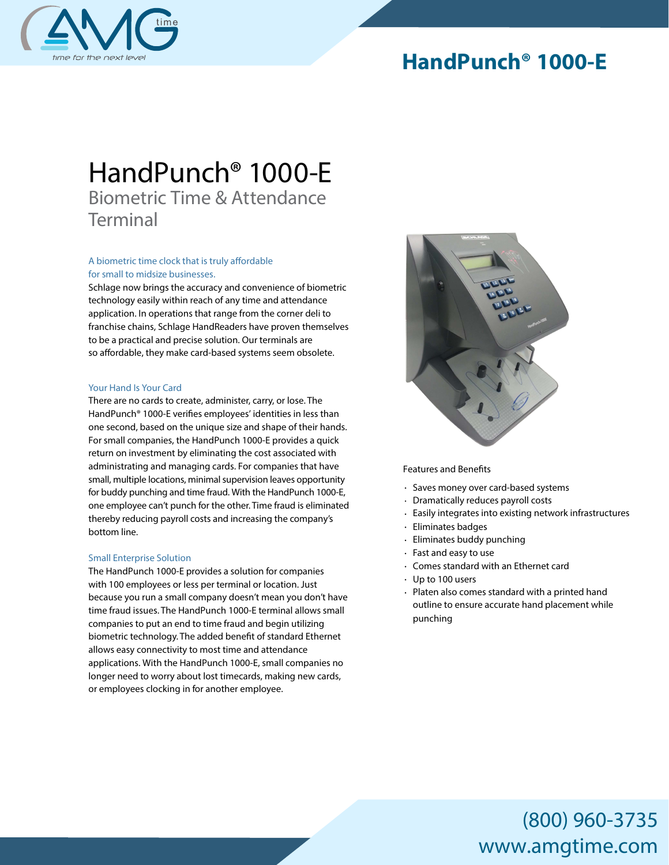

### **HandPunch® 1000-E**

# *HandPunch® 1000-E Biometric Time & Attendance Terminal*

#### A biometric time clock that is truly affordable *for small to midsize businesses.*

Schlage now brings the accuracy and convenience of biometric technology easily within reach of any time and attendance application. In operations that range from the corner deli to franchise chains, Schlage HandReaders have proven themselves to be a practical and precise solution. Our terminals are so affordable, they make card-based systems seem obsolete.

#### *Your Hand Is Your Card*

There are no cards to create, administer, carry, or lose. The HandPunch® 1000-E verifies employees' identities in less than one second, based on the unique size and shape of their hands. For small companies, the HandPunch 1000-E provides a quick return on investment by eliminating the cost associated with administrating and managing cards. For companies that have small, multiple locations, minimal supervision leaves opportunity for buddy punching and time fraud. With the HandPunch 1000-E, one employee can't punch for the other. Time fraud is eliminated thereby reducing payroll costs and increasing the company's bottom line.

#### *Small Enterprise Solution*

The HandPunch 1000-E provides a solution for companies with 100 employees or less per terminal or location. Just because you run a small company doesn't mean you don't have time fraud issues. The HandPunch 1000-E terminal allows small companies to put an end to time fraud and begin utilizing biometric technology. The added benefit of standard Ethernet allows easy connectivity to most time and attendance applications. With the HandPunch 1000-E, small companies no longer need to worry about lost timecards, making new cards, or employees clocking in for another employee.



**Features and Benefits**

- Saves money over card-based systems
- Dramatically reduces payroll costs
- Easily integrates into existing network infrastructures
- $\ddot{\phantom{a}}$ Eliminates badges
- Eliminates buddy punching  $\ddot{\phantom{a}}$
- Fast and easy to use
- Comes standard with an Ethernet card
- Up to 100 users
- Platen also comes standard with a printed hand outline to ensure accurate hand placement while punching

## (800) 960-3735 www.amgtime.com